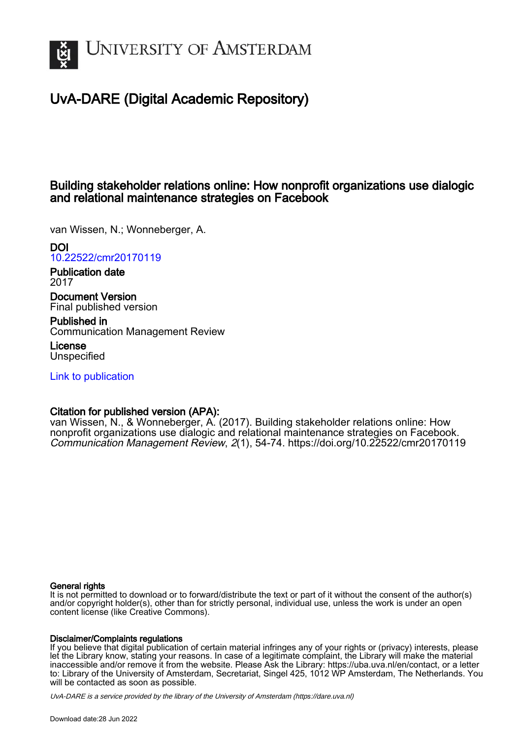

# UvA-DARE (Digital Academic Repository)

# Building stakeholder relations online: How nonprofit organizations use dialogic and relational maintenance strategies on Facebook

van Wissen, N.; Wonneberger, A.

DOI

[10.22522/cmr20170119](https://doi.org/10.22522/cmr20170119)

Publication date 2017

Document Version Final published version

Published in Communication Management Review

License **Unspecified** 

[Link to publication](https://dare.uva.nl/personal/pure/en/publications/building-stakeholder-relations-online-how-nonprofit-organizations-use-dialogic-and-relational-maintenance-strategies-on-facebook(1bd5d22f-63f0-4fb4-8fb3-4316866349af).html)

## Citation for published version (APA):

van Wissen, N., & Wonneberger, A. (2017). Building stakeholder relations online: How nonprofit organizations use dialogic and relational maintenance strategies on Facebook. Communication Management Review, 2(1), 54-74.<https://doi.org/10.22522/cmr20170119>

#### General rights

It is not permitted to download or to forward/distribute the text or part of it without the consent of the author(s) and/or copyright holder(s), other than for strictly personal, individual use, unless the work is under an open content license (like Creative Commons).

#### Disclaimer/Complaints regulations

If you believe that digital publication of certain material infringes any of your rights or (privacy) interests, please let the Library know, stating your reasons. In case of a legitimate complaint, the Library will make the material inaccessible and/or remove it from the website. Please Ask the Library: https://uba.uva.nl/en/contact, or a letter to: Library of the University of Amsterdam, Secretariat, Singel 425, 1012 WP Amsterdam, The Netherlands. You will be contacted as soon as possible.

UvA-DARE is a service provided by the library of the University of Amsterdam (http*s*://dare.uva.nl)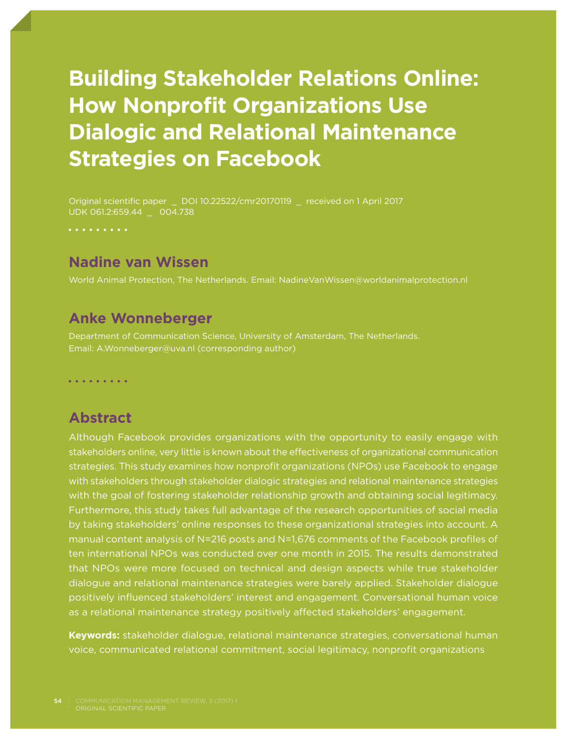# **Building Stakeholder Relations Online: How Nonprofit Organizations Use Dialogic and Relational Maintenance Strategies on Facebook**

. . . . . . . . .

## **Nadine van Wissen**

World Animal Protection, The Netherlands. Email: NadineVanWissen@worldanimalprotection.nl

### **Anke Wonneberger**

Department of Communication Science, University of Amsterdam, The Netherlands. Email: A.Wonneberger@uva.nl (corresponding author)

. . . . . . . . .

#### **Abstract**

Although Facebook provides organizations with the opportunity to easily engage with stakeholders online, very little is known about the effectiveness of organizational communication strategies. This study examines how nonprofit organizations (NPOs) use Facebook to engage with stakeholders through stakeholder dialogic strategies and relational maintenance strategies with the goal of fostering stakeholder relationship growth and obtaining social legitimacy. Furthermore, this study takes full advantage of the research opportunities of social media by taking stakeholders' online responses to these organizational strategies into account. A manual content analysis of N=216 posts and N=1,676 comments of the Facebook profiles of ten international NPOs was conducted over one month in 2015. The results demonstrated that NPOs were more focused on technical and design aspects while true stakeholder dialogue and relational maintenance strategies were barely applied. Stakeholder dialogue positively influenced stakeholders' interest and engagement. Conversational human voice as a relational maintenance strategy positively affected stakeholders' engagement.

**Keywords:** stakeholder dialogue, relational maintenance strategies, conversational human voice, communicated relational commitment, social legitimacy, nonprofit organizations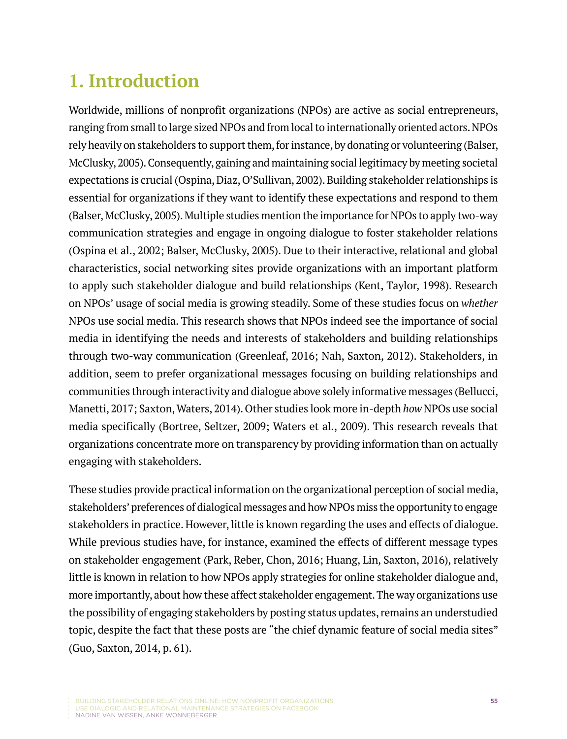# **1. Introduction**

Worldwide, millions of nonprofit organizations (NPOs) are active as social entrepreneurs, ranging from small to large sized NPOs and from local to internationally oriented actors. NPOs rely heavily on stakeholders to support them, for instance, by donating or volunteering (Balser, McClusky, 2005). Consequently, gaining and maintaining social legitimacy by meeting societal expectations is crucial (Ospina, Diaz, O'Sullivan, 2002). Building stakeholder relationships is essential for organizations if they want to identify these expectations and respond to them (Balser, McClusky, 2005). Multiple studies mention the importance for NPOs to apply two-way communication strategies and engage in ongoing dialogue to foster stakeholder relations (Ospina et al., 2002; Balser, McClusky, 2005). Due to their interactive, relational and global characteristics, social networking sites provide organizations with an important platform to apply such stakeholder dialogue and build relationships (Kent, Taylor, 1998). Research on NPOs' usage of social media is growing steadily. Some of these studies focus on *whether* NPOs use social media. This research shows that NPOs indeed see the importance of social media in identifying the needs and interests of stakeholders and building relationships through two-way communication (Greenleaf, 2016; Nah, Saxton, 2012). Stakeholders, in addition, seem to prefer organizational messages focusing on building relationships and communities through interactivity and dialogue above solely informative messages (Bellucci, Manetti, 2017; Saxton, Waters, 2014). Other studies look more in-depth *how* NPOs use social media specifically (Bortree, Seltzer, 2009; Waters et al., 2009). This research reveals that organizations concentrate more on transparency by providing information than on actually engaging with stakeholders.

These studies provide practical information on the organizational perception of social media, stakeholders' preferences of dialogical messages and how NPOs miss the opportunity to engage stakeholders in practice. However, little is known regarding the uses and effects of dialogue. While previous studies have, for instance, examined the effects of different message types on stakeholder engagement (Park, Reber, Chon, 2016; Huang, Lin, Saxton, 2016), relatively little is known in relation to how NPOs apply strategies for online stakeholder dialogue and, more importantly, about how these affect stakeholder engagement. The way organizations use the possibility of engaging stakeholders by posting status updates, remains an understudied topic, despite the fact that these posts are "the chief dynamic feature of social media sites" (Guo, Saxton, 2014, p. 61).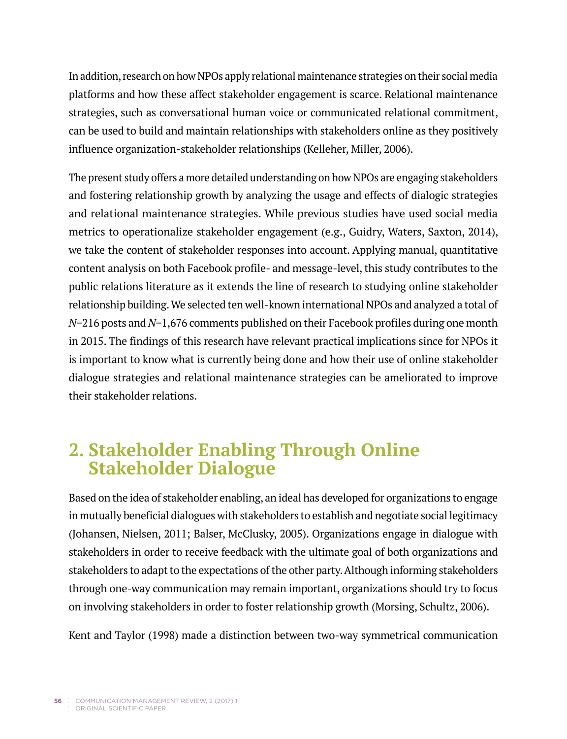In addition, research on how NPOs apply relational maintenance strategies on their social media platforms and how these affect stakeholder engagement is scarce. Relational maintenance strategies, such as conversational human voice or communicated relational commitment, can be used to build and maintain relationships with stakeholders online as they positively influence organization-stakeholder relationships (Kelleher, Miller, 2006).

The present study offers a more detailed understanding on how NPOs are engaging stakeholders and fostering relationship growth by analyzing the usage and effects of dialogic strategies and relational maintenance strategies. While previous studies have used social media metrics to operationalize stakeholder engagement (e.g., Guidry, Waters, Saxton, 2014), we take the content of stakeholder responses into account. Applying manual, quantitative content analysis on both Facebook profile- and message-level, this study contributes to the public relations literature as it extends the line of research to studying online stakeholder relationship building. We selected ten well-known international NPOs and analyzed a total of *N*=216 posts and *N*=1,676 comments published on their Facebook profiles during one month in 2015. The findings of this research have relevant practical implications since for NPOs it is important to know what is currently being done and how their use of online stakeholder dialogue strategies and relational maintenance strategies can be ameliorated to improve their stakeholder relations.

# **2. Stakeholder Enabling Through Online Stakeholder Dialogue**

Based on the idea of stakeholder enabling, an ideal has developed for organizations to engage in mutually beneficial dialogues with stakeholders to establish and negotiate social legitimacy (Johansen, Nielsen, 2011; Balser, McClusky, 2005). Organizations engage in dialogue with stakeholders in order to receive feedback with the ultimate goal of both organizations and stakeholders to adapt to the expectations of the other party. Although informing stakeholders through one-way communication may remain important, organizations should try to focus on involving stakeholders in order to foster relationship growth (Morsing, Schultz, 2006).

Kent and Taylor (1998) made a distinction between two-way symmetrical communication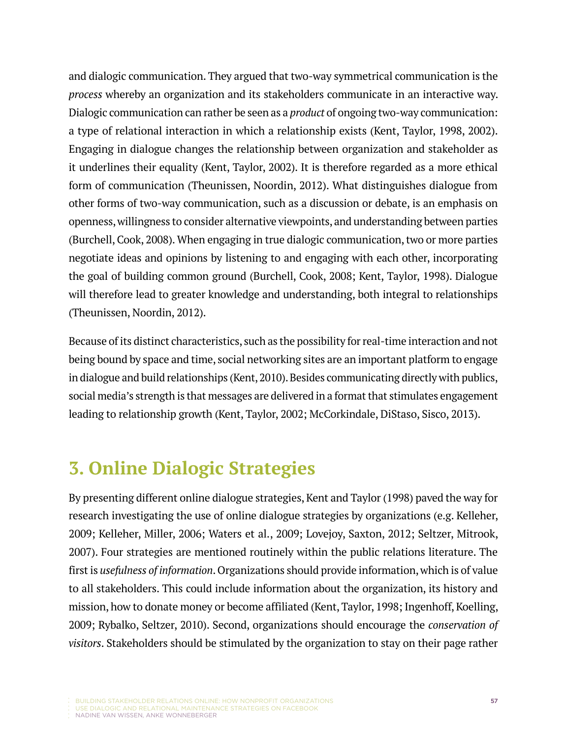and dialogic communication. They argued that two-way symmetrical communication is the *process* whereby an organization and its stakeholders communicate in an interactive way. Dialogic communication can rather be seen as a *product* of ongoing two-way communication: a type of relational interaction in which a relationship exists (Kent, Taylor, 1998, 2002). Engaging in dialogue changes the relationship between organization and stakeholder as it underlines their equality (Kent, Taylor, 2002). It is therefore regarded as a more ethical form of communication (Theunissen, Noordin, 2012). What distinguishes dialogue from other forms of two-way communication, such as a discussion or debate, is an emphasis on openness, willingness to consider alternative viewpoints, and understanding between parties (Burchell, Cook, 2008). When engaging in true dialogic communication, two or more parties negotiate ideas and opinions by listening to and engaging with each other, incorporating the goal of building common ground (Burchell, Cook, 2008; Kent, Taylor, 1998). Dialogue will therefore lead to greater knowledge and understanding, both integral to relationships (Theunissen, Noordin, 2012).

Because of its distinct characteristics, such as the possibility for real-time interaction and not being bound by space and time, social networking sites are an important platform to engage in dialogue and build relationships (Kent, 2010). Besides communicating directly with publics, social media's strength is that messages are delivered in a format that stimulates engagement leading to relationship growth (Kent, Taylor, 2002; McCorkindale, DiStaso, Sisco, 2013).

# **3. Online Dialogic Strategies**

By presenting different online dialogue strategies, Kent and Taylor (1998) paved the way for research investigating the use of online dialogue strategies by organizations (e.g. Kelleher, 2009; Kelleher, Miller, 2006; Waters et al., 2009; Lovejoy, Saxton, 2012; Seltzer, Mitrook, 2007). Four strategies are mentioned routinely within the public relations literature. The first is *usefulness of information*. Organizations should provide information, which is of value to all stakeholders. This could include information about the organization, its history and mission, how to donate money or become affiliated (Kent, Taylor, 1998; Ingenhoff, Koelling, 2009; Rybalko, Seltzer, 2010). Second, organizations should encourage the *conservation of visitors*. Stakeholders should be stimulated by the organization to stay on their page rather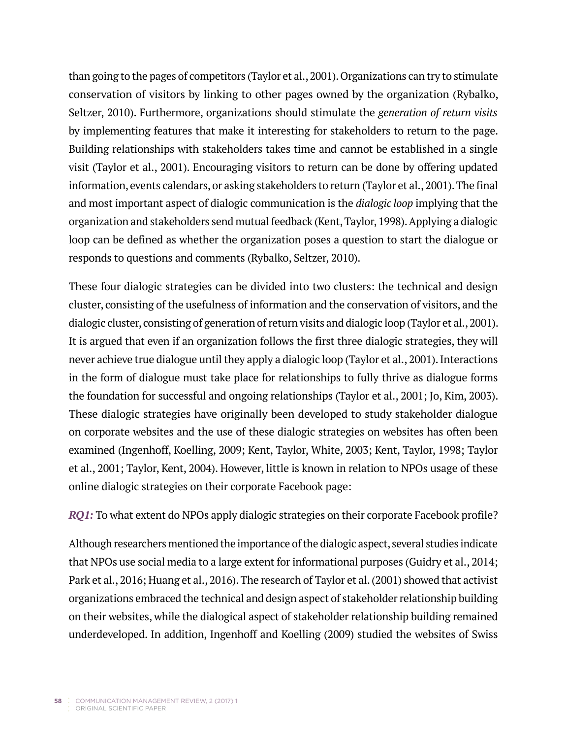than going to the pages of competitors (Taylor et al., 2001). Organizations can try to stimulate conservation of visitors by linking to other pages owned by the organization (Rybalko, Seltzer, 2010). Furthermore, organizations should stimulate the *generation of return visits*  by implementing features that make it interesting for stakeholders to return to the page. Building relationships with stakeholders takes time and cannot be established in a single visit (Taylor et al., 2001). Encouraging visitors to return can be done by offering updated information, events calendars, or asking stakeholders to return (Taylor et al., 2001). The final and most important aspect of dialogic communication is the *dialogic loop* implying that the organization and stakeholders send mutual feedback (Kent, Taylor, 1998). Applying a dialogic loop can be defined as whether the organization poses a question to start the dialogue or responds to questions and comments (Rybalko, Seltzer, 2010).

These four dialogic strategies can be divided into two clusters: the technical and design cluster, consisting of the usefulness of information and the conservation of visitors, and the dialogic cluster, consisting of generation of return visits and dialogic loop (Taylor et al., 2001). It is argued that even if an organization follows the first three dialogic strategies, they will never achieve true dialogue until they apply a dialogic loop (Taylor et al., 2001). Interactions in the form of dialogue must take place for relationships to fully thrive as dialogue forms the foundation for successful and ongoing relationships (Taylor et al., 2001; Jo, Kim, 2003). These dialogic strategies have originally been developed to study stakeholder dialogue on corporate websites and the use of these dialogic strategies on websites has often been examined (Ingenhoff, Koelling, 2009; Kent, Taylor, White, 2003; Kent, Taylor, 1998; Taylor et al., 2001; Taylor, Kent, 2004). However, little is known in relation to NPOs usage of these online dialogic strategies on their corporate Facebook page:

*RQ1:* To what extent do NPOs apply dialogic strategies on their corporate Facebook profile?

Although researchers mentioned the importance of the dialogic aspect, several studies indicate that NPOs use social media to a large extent for informational purposes (Guidry et al., 2014; Park et al., 2016; Huang et al., 2016). The research of Taylor et al. (2001) showed that activist organizations embraced the technical and design aspect of stakeholder relationship building on their websites, while the dialogical aspect of stakeholder relationship building remained underdeveloped. In addition, Ingenhoff and Koelling (2009) studied the websites of Swiss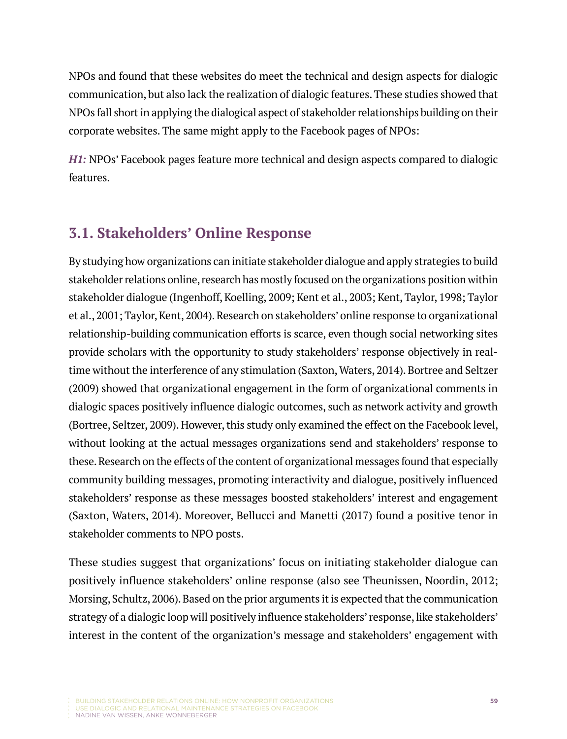NPOs and found that these websites do meet the technical and design aspects for dialogic communication, but also lack the realization of dialogic features. These studies showed that NPOs fall short in applying the dialogical aspect of stakeholder relationships building on their corporate websites. The same might apply to the Facebook pages of NPOs:

*H1:* NPOs' Facebook pages feature more technical and design aspects compared to dialogic features.

## **3.1. Stakeholders' Online Response**

By studying how organizations can initiate stakeholder dialogue and apply strategies to build stakeholder relations online, research has mostly focused on the organizations position within stakeholder dialogue (Ingenhoff, Koelling, 2009; Kent et al., 2003; Kent, Taylor, 1998; Taylor et al., 2001; Taylor, Kent, 2004). Research on stakeholders' online response to organizational relationship-building communication efforts is scarce, even though social networking sites provide scholars with the opportunity to study stakeholders' response objectively in realtime without the interference of any stimulation (Saxton, Waters, 2014). Bortree and Seltzer (2009) showed that organizational engagement in the form of organizational comments in dialogic spaces positively influence dialogic outcomes, such as network activity and growth (Bortree, Seltzer, 2009). However, this study only examined the effect on the Facebook level, without looking at the actual messages organizations send and stakeholders' response to these. Research on the effects of the content of organizational messages found that especially community building messages, promoting interactivity and dialogue, positively influenced stakeholders' response as these messages boosted stakeholders' interest and engagement (Saxton, Waters, 2014). Moreover, Bellucci and Manetti (2017) found a positive tenor in stakeholder comments to NPO posts.

These studies suggest that organizations' focus on initiating stakeholder dialogue can positively influence stakeholders' online response (also see Theunissen, Noordin, 2012; Morsing, Schultz, 2006). Based on the prior arguments it is expected that the communication strategy of a dialogic loop will positively influence stakeholders' response, like stakeholders' interest in the content of the organization's message and stakeholders' engagement with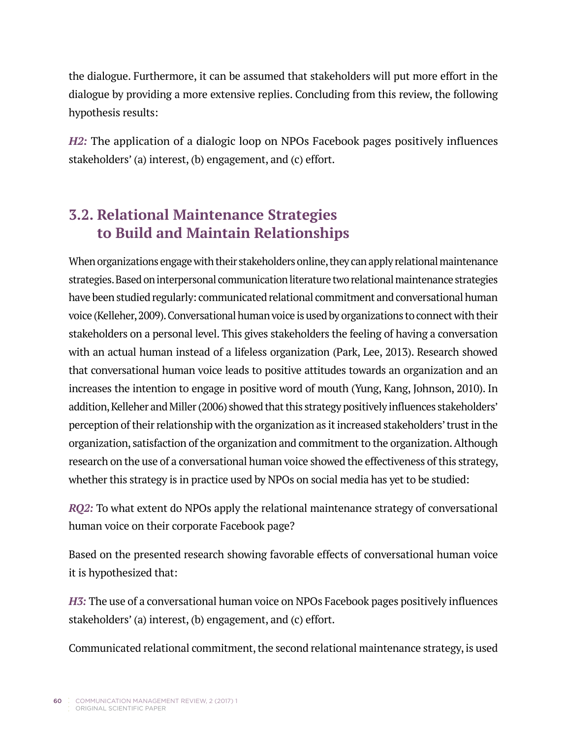the dialogue. Furthermore, it can be assumed that stakeholders will put more effort in the dialogue by providing a more extensive replies. Concluding from this review, the following hypothesis results:

*H2:* The application of a dialogic loop on NPOs Facebook pages positively influences stakeholders' (a) interest, (b) engagement, and (c) effort.

# **3.2. Relational Maintenance Strategies to Build and Maintain Relationships**

When organizations engage with their stakeholders online, they can apply relational maintenance strategies. Based on interpersonal communication literature two relational maintenance strategies have been studied regularly: communicated relational commitment and conversational human voice (Kelleher, 2009). Conversational human voice is used by organizations to connect with their stakeholders on a personal level. This gives stakeholders the feeling of having a conversation with an actual human instead of a lifeless organization (Park, Lee, 2013). Research showed that conversational human voice leads to positive attitudes towards an organization and an increases the intention to engage in positive word of mouth (Yung, Kang, Johnson, 2010). In addition, Kelleher and Miller (2006) showed that this strategy positively influences stakeholders' perception of their relationship with the organization as it increased stakeholders' trust in the organization, satisfaction of the organization and commitment to the organization. Although research on the use of a conversational human voice showed the effectiveness of this strategy, whether this strategy is in practice used by NPOs on social media has yet to be studied:

*RQ2:* To what extent do NPOs apply the relational maintenance strategy of conversational human voice on their corporate Facebook page?

Based on the presented research showing favorable effects of conversational human voice it is hypothesized that:

*H3:* The use of a conversational human voice on NPOs Facebook pages positively influences stakeholders' (a) interest, (b) engagement, and (c) effort.

Communicated relational commitment, the second relational maintenance strategy, is used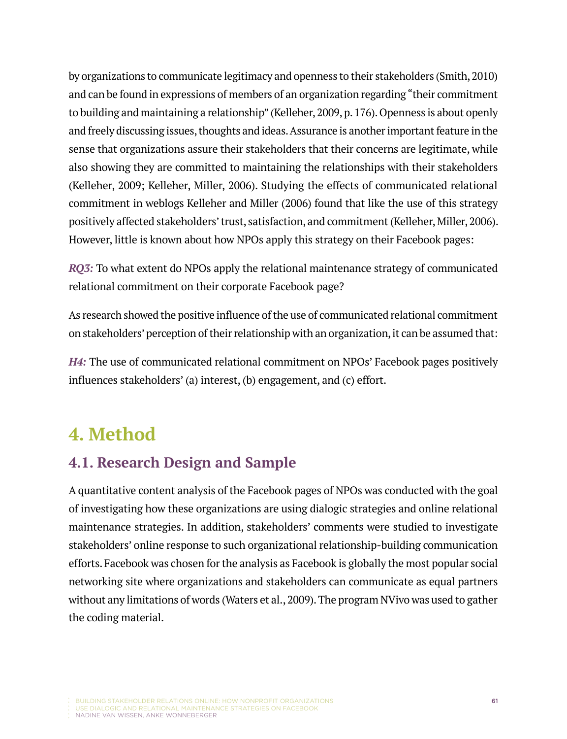by organizations to communicate legitimacy and openness to their stakeholders (Smith, 2010) and can be found in expressions of members of an organization regarding "their commitment to building and maintaining a relationship" (Kelleher, 2009, p. 176). Openness is about openly and freely discussing issues, thoughts and ideas. Assurance is another important feature in the sense that organizations assure their stakeholders that their concerns are legitimate, while also showing they are committed to maintaining the relationships with their stakeholders (Kelleher, 2009; Kelleher, Miller, 2006). Studying the effects of communicated relational commitment in weblogs Kelleher and Miller (2006) found that like the use of this strategy positively affected stakeholders' trust, satisfaction, and commitment (Kelleher, Miller, 2006). However, little is known about how NPOs apply this strategy on their Facebook pages:

*RQ3:* To what extent do NPOs apply the relational maintenance strategy of communicated relational commitment on their corporate Facebook page?

As research showed the positive influence of the use of communicated relational commitment on stakeholders' perception of their relationship with an organization, it can be assumed that:

*H4:* The use of communicated relational commitment on NPOs' Facebook pages positively influences stakeholders' (a) interest, (b) engagement, and (c) effort.

# **4. Method**

## **4.1. Research Design and Sample**

A quantitative content analysis of the Facebook pages of NPOs was conducted with the goal of investigating how these organizations are using dialogic strategies and online relational maintenance strategies. In addition, stakeholders' comments were studied to investigate stakeholders' online response to such organizational relationship-building communication efforts. Facebook was chosen for the analysis as Facebook is globally the most popular social networking site where organizations and stakeholders can communicate as equal partners without any limitations of words (Waters et al., 2009). The program NVivo was used to gather the coding material.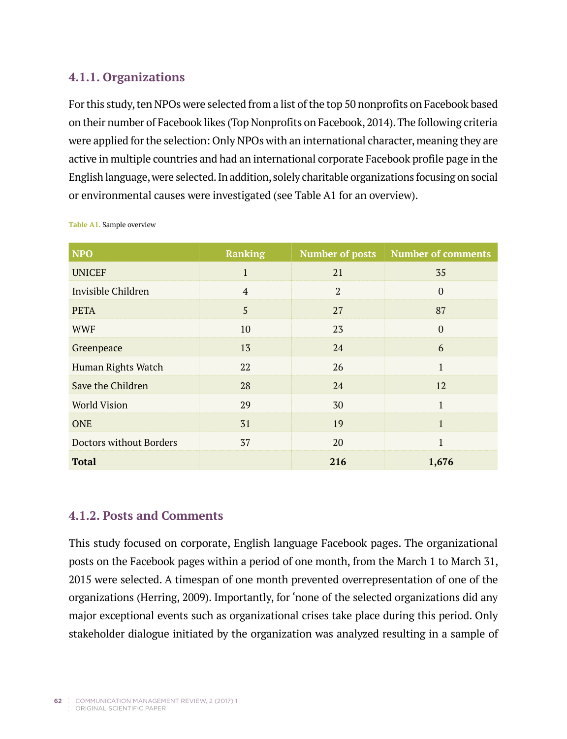#### **4.1.1. Organizations**

For this study, ten NPOs were selected from a list of the top 50 nonprofits on Facebook based on their number of Facebook likes (Top Nonprofits on Facebook, 2014). The following criteria were applied for the selection: Only NPOs with an international character, meaning they are active in multiple countries and had an international corporate Facebook profile page in the English language, were selected. In addition, solely charitable organizations focusing on social or environmental causes were investigated (see Table A1 for an overview).

| <b>NPO</b>              | <b>Ranking</b> | <b>Number of posts</b> | <b>Number of comments</b> |
|-------------------------|----------------|------------------------|---------------------------|
| <b>UNICEF</b>           | $\mathbf{1}$   | 21                     | 35                        |
| Invisible Children      | $\overline{4}$ | $\overline{2}$         | $\Omega$                  |
| <b>PETA</b>             | 5              | 27                     | 87                        |
| <b>WWF</b>              | 10             | 23                     | $\Omega$                  |
| Greenpeace              | 13             | 24                     | 6                         |
| Human Rights Watch      | 22             | 26                     | $\mathbf{1}$              |
| Save the Children       | 28             | 24                     | 12                        |
| <b>World Vision</b>     | 29             | 30                     | $\mathbf{1}$              |
| <b>ONE</b>              | 31             | 19                     | $\mathbf{1}$              |
| Doctors without Borders | 37             | 20                     | 1                         |
| <b>Total</b>            |                | 216                    | 1,676                     |

**Table A1.** Sample overview

#### **4.1.2. Posts and Comments**

This study focused on corporate, English language Facebook pages. The organizational posts on the Facebook pages within a period of one month, from the March 1 to March 31, 2015 were selected. A timespan of one month prevented overrepresentation of one of the organizations (Herring, 2009). Importantly, for 'none of the selected organizations did any major exceptional events such as organizational crises take place during this period. Only stakeholder dialogue initiated by the organization was analyzed resulting in a sample of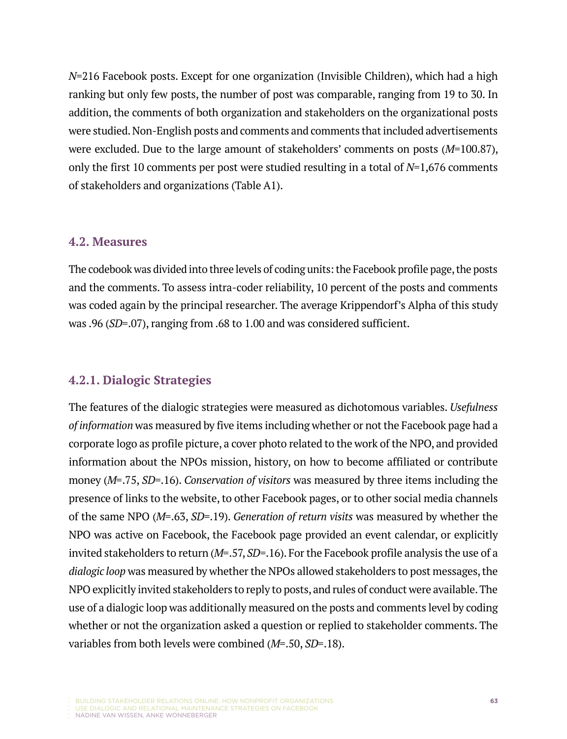*N*=216 Facebook posts. Except for one organization (Invisible Children), which had a high ranking but only few posts, the number of post was comparable, ranging from 19 to 30. In addition, the comments of both organization and stakeholders on the organizational posts were studied. Non-English posts and comments and comments that included advertisements were excluded. Due to the large amount of stakeholders' comments on posts (*M*=100.87), only the first 10 comments per post were studied resulting in a total of *N*=1,676 comments of stakeholders and organizations (Table A1).

#### **4.2. Measures**

The codebook was divided into three levels of coding units: the Facebook profile page, the posts and the comments. To assess intra-coder reliability, 10 percent of the posts and comments was coded again by the principal researcher. The average Krippendorf's Alpha of this study was .96 (*SD*=.07), ranging from .68 to 1.00 and was considered sufficient.

#### **4.2.1. Dialogic Strategies**

The features of the dialogic strategies were measured as dichotomous variables. *Usefulness of information* was measured by five items including whether or not the Facebook page had a corporate logo as profile picture, a cover photo related to the work of the NPO, and provided information about the NPOs mission, history, on how to become affiliated or contribute money (*M=*.75, *SD*=.16). *Conservation of visitors* was measured by three items including the presence of links to the website, to other Facebook pages, or to other social media channels of the same NPO (*M=*.63, *SD*=.19). *Generation of return visits* was measured by whether the NPO was active on Facebook, the Facebook page provided an event calendar, or explicitly invited stakeholders to return (*M=*.57, *SD*=.16). For the Facebook profile analysis the use of a *dialogic loop* was measured by whether the NPOs allowed stakeholders to post messages, the NPO explicitly invited stakeholders to reply to posts, and rules of conduct were available. The use of a dialogic loop was additionally measured on the posts and comments level by coding whether or not the organization asked a question or replied to stakeholder comments. The variables from both levels were combined (*M=*.50, *SD=*.18).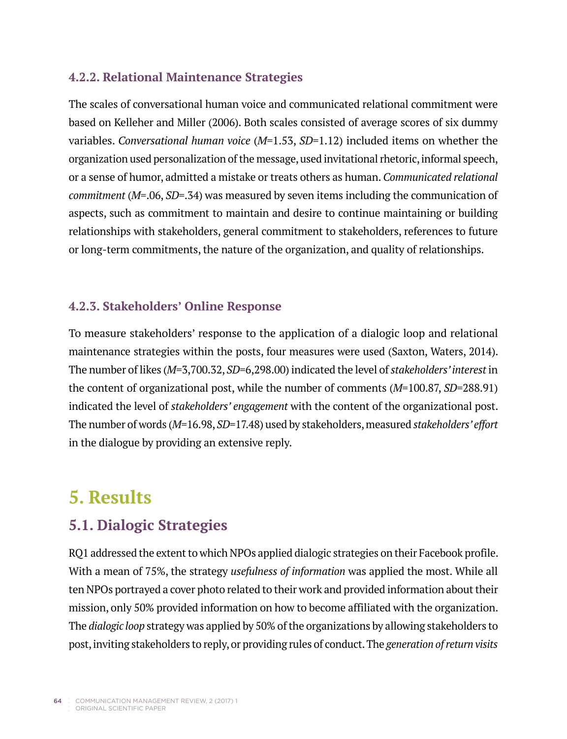#### **4.2.2. Relational Maintenance Strategies**

The scales of conversational human voice and communicated relational commitment were based on Kelleher and Miller (2006). Both scales consisted of average scores of six dummy variables. *Conversational human voice* (*M*=1.53, *SD*=1.12) included items on whether the organization used personalization of the message, used invitational rhetoric, informal speech, or a sense of humor, admitted a mistake or treats others as human. *Communicated relational commitment* (*M*=.06, *SD*=.34) was measured by seven items including the communication of aspects, such as commitment to maintain and desire to continue maintaining or building relationships with stakeholders, general commitment to stakeholders, references to future or long-term commitments, the nature of the organization, and quality of relationships.

#### **4.2.3. Stakeholders' Online Response**

To measure stakeholders' response to the application of a dialogic loop and relational maintenance strategies within the posts, four measures were used (Saxton, Waters, 2014). The number of likes (*M*=3,700.32, *SD*=6,298.00) indicated the level of *stakeholders' interest* in the content of organizational post, while the number of comments (*M*=100.87, *SD*=288.91) indicated the level of *stakeholders' engagement* with the content of the organizational post. The number of words (*M*=16.98, *SD*=17.48) used by stakeholders, measured *stakeholders' effort* in the dialogue by providing an extensive reply.

# **5. Results**

# **5.1. Dialogic Strategies**

RQ1 addressed the extent to which NPOs applied dialogic strategies on their Facebook profile. With a mean of 75%, the strategy *usefulness of information* was applied the most. While all ten NPOs portrayed a cover photo related to their work and provided information about their mission, only 50% provided information on how to become affiliated with the organization. The *dialogic loop* strategy was applied by 50% of the organizations by allowing stakeholders to post, inviting stakeholders to reply, or providing rules of conduct. The *generation of return visits*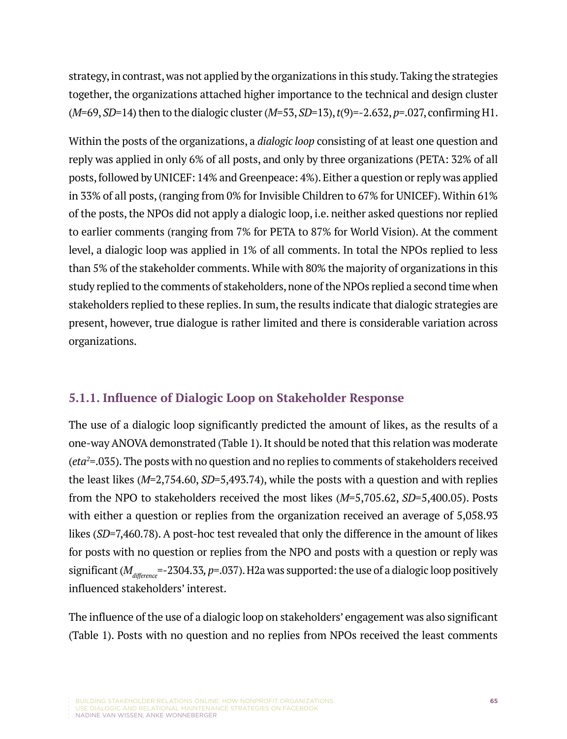strategy, in contrast, was not applied by the organizations in this study. Taking the strategies together, the organizations attached higher importance to the technical and design cluster (*M*=69, *SD*=14) then to the dialogic cluster (*M*=53, *SD*=13), *t*(9)=-2.632, *p*=.027, confirming H1.

Within the posts of the organizations, a *dialogic loop* consisting of at least one question and reply was applied in only 6% of all posts, and only by three organizations (PETA: 32% of all posts, followed by UNICEF: 14% and Greenpeace: 4%). Either a question or reply was applied in 33% of all posts, (ranging from 0% for Invisible Children to 67% for UNICEF). Within 61% of the posts, the NPOs did not apply a dialogic loop, i.e. neither asked questions nor replied to earlier comments (ranging from 7% for PETA to 87% for World Vision). At the comment level, a dialogic loop was applied in 1% of all comments. In total the NPOs replied to less than 5% of the stakeholder comments. While with 80% the majority of organizations in this study replied to the comments of stakeholders, none of the NPOs replied a second time when stakeholders replied to these replies. In sum, the results indicate that dialogic strategies are present, however, true dialogue is rather limited and there is considerable variation across organizations.

#### **5.1.1. Influence of Dialogic Loop on Stakeholder Response**

The use of a dialogic loop significantly predicted the amount of likes, as the results of a one-way ANOVA demonstrated (Table 1). It should be noted that this relation was moderate (*eta2* =.035). The posts with no question and no replies to comments of stakeholders received the least likes (*M*=2,754.60, *SD*=5,493.74), while the posts with a question and with replies from the NPO to stakeholders received the most likes (*M*=5,705.62, *SD*=5,400.05). Posts with either a question or replies from the organization received an average of 5,058.93 likes (*SD*=7,460.78). A post-hoc test revealed that only the difference in the amount of likes for posts with no question or replies from the NPO and posts with a question or reply was significant ( $M_{difference}$ =-2304.33, p=.037). H2a was supported: the use of a dialogic loop positively influenced stakeholders' interest.

The influence of the use of a dialogic loop on stakeholders' engagement was also significant (Table 1). Posts with no question and no replies from NPOs received the least comments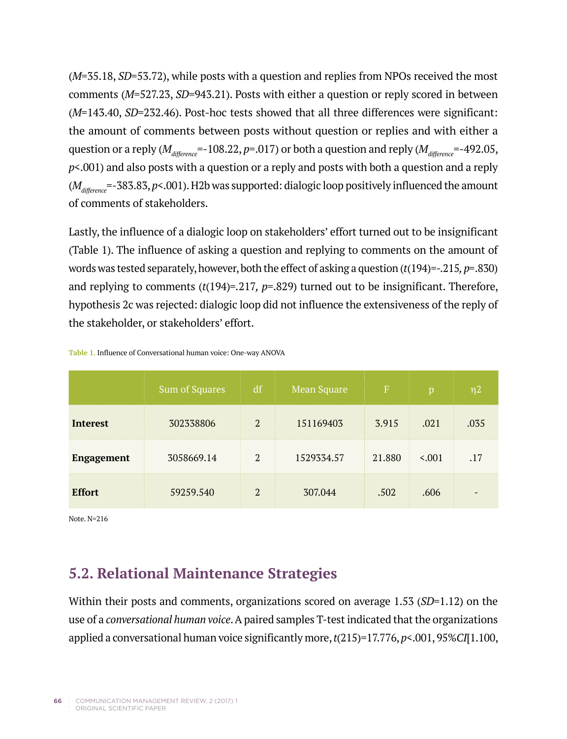(*M*=35.18, *SD*=53.72), while posts with a question and replies from NPOs received the most comments (*M*=527.23, *SD*=943.21). Posts with either a question or reply scored in between (*M*=143.40, *SD*=232.46). Post-hoc tests showed that all three differences were significant: the amount of comments between posts without question or replies and with either a question or a reply ( $M_{difference}$ =-108.22, *p*=.017) or both a question and reply ( $M_{difference}$ =-492.05, *p*<.001) and also posts with a question or a reply and posts with both a question and a reply (*Mdifference*=-383.83, *p*<.001). H2b was supported: dialogic loop positively influenced the amount of comments of stakeholders.

Lastly, the influence of a dialogic loop on stakeholders' effort turned out to be insignificant (Table 1). The influence of asking a question and replying to comments on the amount of words was tested separately, however, both the effect of asking a question (*t*(194)=-.215*, p=*.830) and replying to comments (*t*(194)*=.*217*, p*=.829) turned out to be insignificant. Therefore, hypothesis 2c was rejected: dialogic loop did not influence the extensiveness of the reply of the stakeholder, or stakeholders' effort.

|                   | Sum of Squares | df             | Mean Square | F      |       | n2   |
|-------------------|----------------|----------------|-------------|--------|-------|------|
| Interest          | 302338806      | 2              | 151169403   | 3.915  | .021  | .035 |
| <b>Engagement</b> | 3058669.14     | $\overline{2}$ | 1529334.57  | 21.880 | 5.001 | .17  |
| <b>Effort</b>     | 59259.540      | 2              | 307.044     | .502   | .606  |      |

**Table 1.** Influence of Conversational human voice: One-way ANOVA

Note. N=216

## **5.2. Relational Maintenance Strategies**

Within their posts and comments, organizations scored on average 1.53 (*SD*=1.12) on the use of a *conversational human voice*. A paired samples T-test indicated that the organizations applied a conversational human voice significantly more, *t*(215)=17.776, *p*<.001, 95%*CI*[1.100,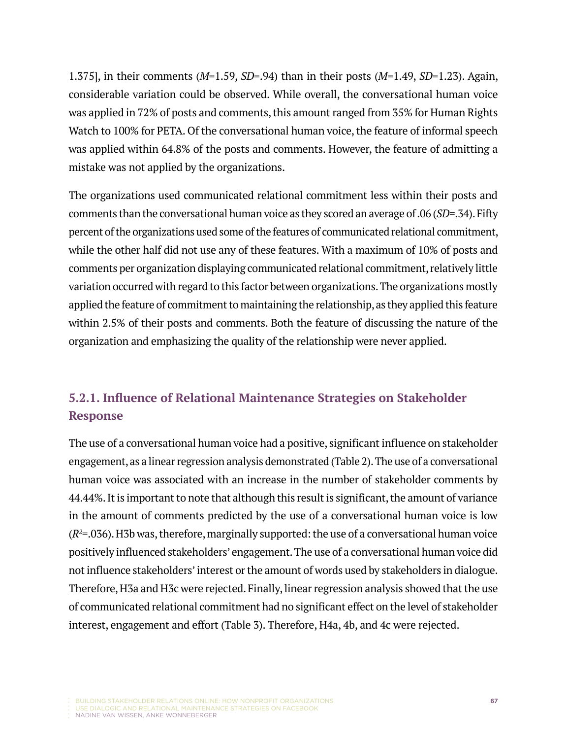1.375], in their comments (*M*=1.59, *SD*=.94) than in their posts (*M*=1.49, *SD*=1.23). Again, considerable variation could be observed. While overall, the conversational human voice was applied in 72% of posts and comments, this amount ranged from 35% for Human Rights Watch to 100% for PETA. Of the conversational human voice, the feature of informal speech was applied within 64.8% of the posts and comments. However, the feature of admitting a mistake was not applied by the organizations.

The organizations used communicated relational commitment less within their posts and comments than the conversational human voice as they scored an average of .06 (*SD*=.34). Fifty percent of the organizations used some of the features of communicated relational commitment, while the other half did not use any of these features. With a maximum of 10% of posts and comments per organization displaying communicated relational commitment, relatively little variation occurred with regard to this factor between organizations. The organizations mostly applied the feature of commitment to maintaining the relationship, as they applied this feature within 2.5% of their posts and comments. Both the feature of discussing the nature of the organization and emphasizing the quality of the relationship were never applied.

## **5.2.1. Influence of Relational Maintenance Strategies on Stakeholder Response**

The use of a conversational human voice had a positive, significant influence on stakeholder engagement, as a linear regression analysis demonstrated (Table 2). The use of a conversational human voice was associated with an increase in the number of stakeholder comments by 44.44%. It is important to note that although this result is significant, the amount of variance in the amount of comments predicted by the use of a conversational human voice is low (*R2* =.036). H3b was, therefore, marginally supported: the use of a conversational human voice positively influenced stakeholders' engagement. The use of a conversational human voice did not influence stakeholders' interest or the amount of words used by stakeholders in dialogue. Therefore, H3a and H3c were rejected. Finally, linear regression analysis showed that the use of communicated relational commitment had no significant effect on the level of stakeholder interest, engagement and effort (Table 3). Therefore, H4a, 4b, and 4c were rejected.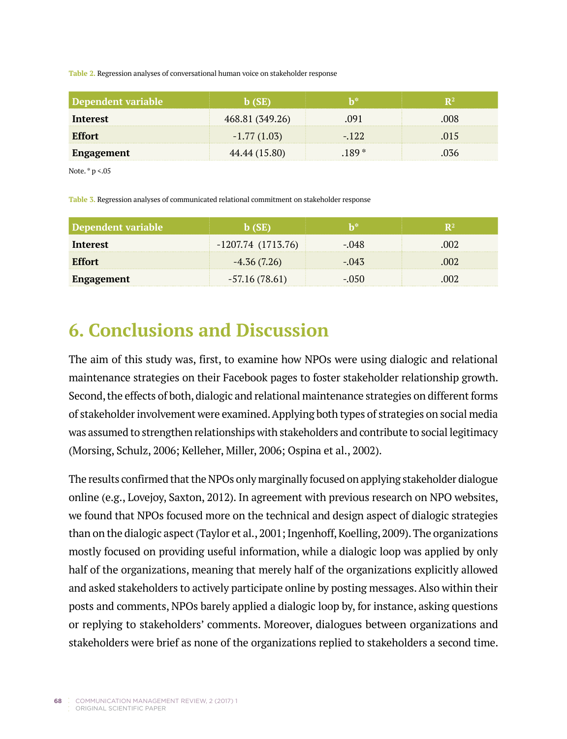**Table 2.** Regression analyses of conversational human voice on stakeholder response

| Dependent variable |                 |       |      |
|--------------------|-----------------|-------|------|
| Interest           | 468.81 (349.26) |       | DO X |
| <b>Effort</b>      | $-1.77(1.03)$   | - 122 |      |
| Engagement         | 44.44 (15.80)   |       |      |

Note. \* p <.05

**Table 3.** Regression analyses of communicated relational commitment on stakeholder response

| Dependent variable |                     |         |  |
|--------------------|---------------------|---------|--|
| Interest           | $-1207.74(1713.76)$ | $-.048$ |  |
| <b>Effort</b>      | $-4.36(7.26)$       | $-.043$ |  |
| Engagement         | $-57.16(78.61)$     | - 050   |  |

# **6. Conclusions and Discussion**

The aim of this study was, first, to examine how NPOs were using dialogic and relational maintenance strategies on their Facebook pages to foster stakeholder relationship growth. Second, the effects of both, dialogic and relational maintenance strategies on different forms of stakeholder involvement were examined. Applying both types of strategies on social media was assumed to strengthen relationships with stakeholders and contribute to social legitimacy (Morsing, Schulz, 2006; Kelleher, Miller, 2006; Ospina et al., 2002).

The results confirmed that the NPOs only marginally focused on applying stakeholder dialogue online (e.g., Lovejoy, Saxton, 2012). In agreement with previous research on NPO websites, we found that NPOs focused more on the technical and design aspect of dialogic strategies than on the dialogic aspect (Taylor et al., 2001; Ingenhoff, Koelling, 2009). The organizations mostly focused on providing useful information, while a dialogic loop was applied by only half of the organizations, meaning that merely half of the organizations explicitly allowed and asked stakeholders to actively participate online by posting messages. Also within their posts and comments, NPOs barely applied a dialogic loop by, for instance, asking questions or replying to stakeholders' comments. Moreover, dialogues between organizations and stakeholders were brief as none of the organizations replied to stakeholders a second time.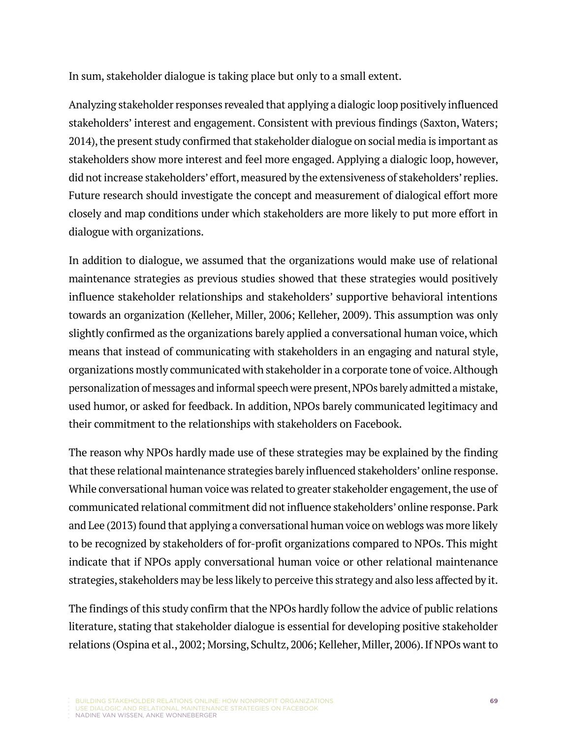In sum, stakeholder dialogue is taking place but only to a small extent.

Analyzing stakeholder responses revealed that applying a dialogic loop positively influenced stakeholders' interest and engagement. Consistent with previous findings (Saxton, Waters; 2014), the present study confirmed that stakeholder dialogue on social media is important as stakeholders show more interest and feel more engaged. Applying a dialogic loop, however, did not increase stakeholders' effort, measured by the extensiveness of stakeholders' replies. Future research should investigate the concept and measurement of dialogical effort more closely and map conditions under which stakeholders are more likely to put more effort in dialogue with organizations.

In addition to dialogue, we assumed that the organizations would make use of relational maintenance strategies as previous studies showed that these strategies would positively influence stakeholder relationships and stakeholders' supportive behavioral intentions towards an organization (Kelleher, Miller, 2006; Kelleher, 2009). This assumption was only slightly confirmed as the organizations barely applied a conversational human voice, which means that instead of communicating with stakeholders in an engaging and natural style, organizations mostly communicated with stakeholder in a corporate tone of voice. Although personalization of messages and informal speech were present, NPOs barely admitted a mistake, used humor, or asked for feedback. In addition, NPOs barely communicated legitimacy and their commitment to the relationships with stakeholders on Facebook.

The reason why NPOs hardly made use of these strategies may be explained by the finding that these relational maintenance strategies barely influenced stakeholders' online response. While conversational human voice was related to greater stakeholder engagement, the use of communicated relational commitment did not influence stakeholders' online response. Park and Lee (2013) found that applying a conversational human voice on weblogs was more likely to be recognized by stakeholders of for-profit organizations compared to NPOs. This might indicate that if NPOs apply conversational human voice or other relational maintenance strategies, stakeholders may be less likely to perceive this strategy and also less affected by it.

The findings of this study confirm that the NPOs hardly follow the advice of public relations literature, stating that stakeholder dialogue is essential for developing positive stakeholder relations (Ospina et al., 2002; Morsing, Schultz, 2006; Kelleher, Miller, 2006). If NPOs want to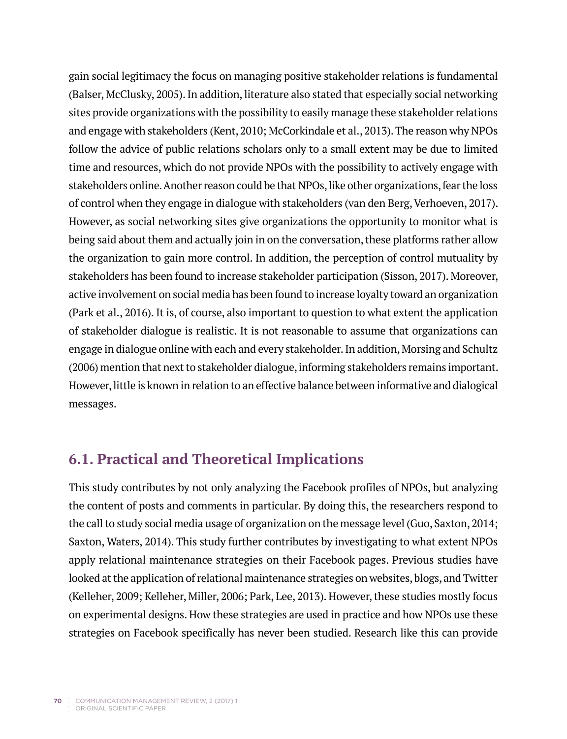gain social legitimacy the focus on managing positive stakeholder relations is fundamental (Balser, McClusky, 2005). In addition, literature also stated that especially social networking sites provide organizations with the possibility to easily manage these stakeholder relations and engage with stakeholders (Kent, 2010; McCorkindale et al., 2013). The reason why NPOs follow the advice of public relations scholars only to a small extent may be due to limited time and resources, which do not provide NPOs with the possibility to actively engage with stakeholders online. Another reason could be that NPOs, like other organizations, fear the loss of control when they engage in dialogue with stakeholders (van den Berg, Verhoeven, 2017). However, as social networking sites give organizations the opportunity to monitor what is being said about them and actually join in on the conversation, these platforms rather allow the organization to gain more control. In addition, the perception of control mutuality by stakeholders has been found to increase stakeholder participation (Sisson, 2017). Moreover, active involvement on social media has been found to increase loyalty toward an organization (Park et al., 2016). It is, of course, also important to question to what extent the application of stakeholder dialogue is realistic. It is not reasonable to assume that organizations can engage in dialogue online with each and every stakeholder. In addition, Morsing and Schultz (2006) mention that next to stakeholder dialogue, informing stakeholders remains important. However, little is known in relation to an effective balance between informative and dialogical messages.

## **6.1. Practical and Theoretical Implications**

This study contributes by not only analyzing the Facebook profiles of NPOs, but analyzing the content of posts and comments in particular. By doing this, the researchers respond to the call to study social media usage of organization on the message level (Guo, Saxton, 2014; Saxton, Waters, 2014). This study further contributes by investigating to what extent NPOs apply relational maintenance strategies on their Facebook pages. Previous studies have looked at the application of relational maintenance strategies on websites, blogs, and Twitter (Kelleher, 2009; Kelleher, Miller, 2006; Park, Lee, 2013). However, these studies mostly focus on experimental designs. How these strategies are used in practice and how NPOs use these strategies on Facebook specifically has never been studied. Research like this can provide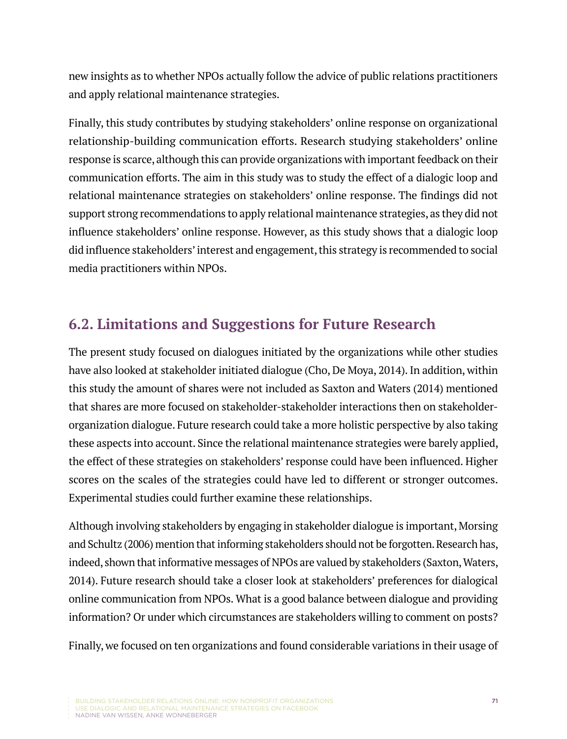new insights as to whether NPOs actually follow the advice of public relations practitioners and apply relational maintenance strategies.

Finally, this study contributes by studying stakeholders' online response on organizational relationship-building communication efforts. Research studying stakeholders' online response is scarce, although this can provide organizations with important feedback on their communication efforts. The aim in this study was to study the effect of a dialogic loop and relational maintenance strategies on stakeholders' online response. The findings did not support strong recommendations to apply relational maintenance strategies, as they did not influence stakeholders' online response. However, as this study shows that a dialogic loop did influence stakeholders' interest and engagement, this strategy is recommended to social media practitioners within NPOs.

## **6.2. Limitations and Suggestions for Future Research**

The present study focused on dialogues initiated by the organizations while other studies have also looked at stakeholder initiated dialogue (Cho, De Moya, 2014). In addition, within this study the amount of shares were not included as Saxton and Waters (2014) mentioned that shares are more focused on stakeholder-stakeholder interactions then on stakeholderorganization dialogue. Future research could take a more holistic perspective by also taking these aspects into account. Since the relational maintenance strategies were barely applied, the effect of these strategies on stakeholders' response could have been influenced. Higher scores on the scales of the strategies could have led to different or stronger outcomes. Experimental studies could further examine these relationships.

Although involving stakeholders by engaging in stakeholder dialogue is important, Morsing and Schultz (2006) mention that informing stakeholders should not be forgotten. Research has, indeed, shown that informative messages of NPOs are valued by stakeholders (Saxton, Waters, 2014). Future research should take a closer look at stakeholders' preferences for dialogical online communication from NPOs. What is a good balance between dialogue and providing information? Or under which circumstances are stakeholders willing to comment on posts?

Finally, we focused on ten organizations and found considerable variations in their usage of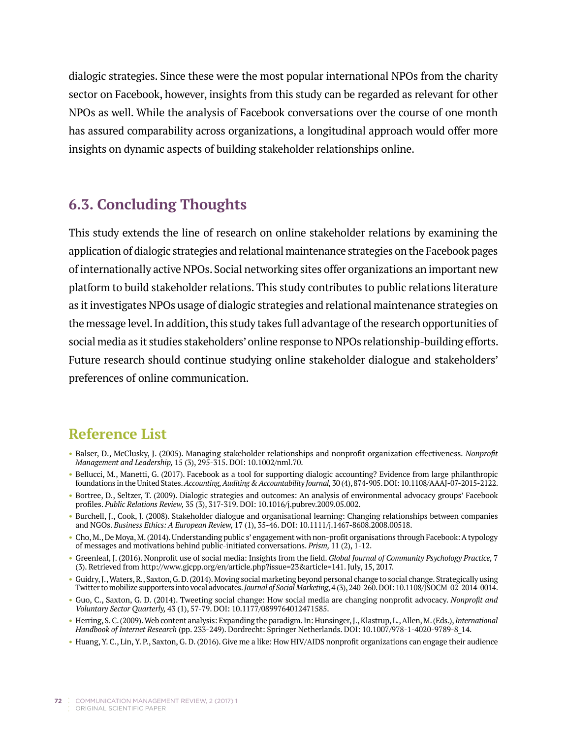dialogic strategies. Since these were the most popular international NPOs from the charity sector on Facebook, however, insights from this study can be regarded as relevant for other NPOs as well. While the analysis of Facebook conversations over the course of one month has assured comparability across organizations, a longitudinal approach would offer more insights on dynamic aspects of building stakeholder relationships online.

## **6.3. Concluding Thoughts**

This study extends the line of research on online stakeholder relations by examining the application of dialogic strategies and relational maintenance strategies on the Facebook pages of internationally active NPOs. Social networking sites offer organizations an important new platform to build stakeholder relations. This study contributes to public relations literature as it investigates NPOs usage of dialogic strategies and relational maintenance strategies on the message level. In addition, this study takes full advantage of the research opportunities of social media as it studies stakeholders' online response to NPOs relationship-building efforts. Future research should continue studying online stakeholder dialogue and stakeholders' preferences of online communication.

# **Reference List**

- **•** Balser, D., McClusky, J. (2005). Managing stakeholder relationships and nonprofit organization effectiveness. *Nonprofit Management and Leadership,* 15 (3), 295-315. DOI: 10.1002/nml.70.
- **•** Bellucci, M., Manetti, G. (2017). Facebook as a tool for supporting dialogic accounting? Evidence from large philanthropic foundations in the United States. *Accounting, Auditing & Accountability Journal,* 30 (4), 874-905. DOI: 10.1108/AAAJ-07-2015-2122.
- **•** Bortree, D., Seltzer, T. (2009). Dialogic strategies and outcomes: An analysis of environmental advocacy groups' Facebook profiles. *Public Relations Review,* 35 (3), 317-319. DOI: 10.1016/j.pubrev.2009.05.002.
- **•** Burchell, J., Cook, J. (2008). Stakeholder dialogue and organisational learning: Changing relationships between companies and NGOs. *Business Ethics: A European Review,* 17 (1), 35-46. DOI: 10.1111/j.1467-8608.2008.00518.
- **•** Cho, M., De Moya, M. (2014). Understanding public s' engagement with non-profit organisations through Facebook: A typology of messages and motivations behind public-initiated conversations. *Prism,* 11 (2), 1-12.
- **•** Greenleaf, J. (2016). Nonprofit use of social media: Insights from the field. *Global Journal of Community Psychology Practice,* 7 (3). Retrieved from http://www.gjcpp.org/en/article.php?issue=23&article=141. July, 15, 2017.
- **•** Guidry, J., Waters, R., Saxton, G. D. (2014). Moving social marketing beyond personal change to social change. Strategically using Twitter to mobilize supporters into vocal advocates. *Journal of Social Marketing*, 4 (3), 240-260. DOI: 10.1108/JSOCM-02-2014-0014.
- **•** Guo, C., Saxton, G. D. (2014). Tweeting social change: How social media are changing nonprofit advocacy. *Nonprofit and Voluntary Sector Quarterly,* 43 (1), 57-79. DOI: 10.1177/0899764012471585.
- **•** Herring, S. C. (2009). Web content analysis: Expanding the paradigm. In: Hunsinger, J., Klastrup, L., Allen, M. (Eds.), *International Handbook of Internet Research* (pp. 233-249). Dordrecht: Springer Netherlands. DOI: 10.1007/978-1-4020-9789-8\_14.
- **•** Huang, Y. C., Lin, Y. P., Saxton, G. D. (2016). Give me a like: How HIV/AIDS nonprofit organizations can engage their audience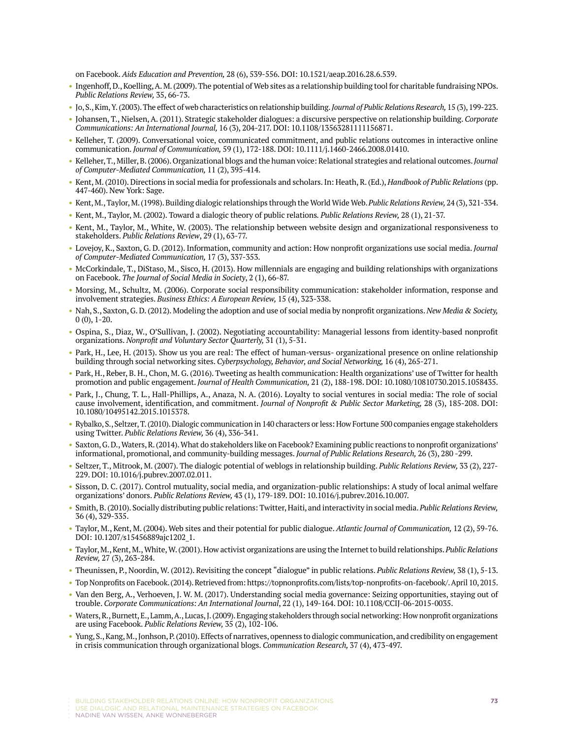on Facebook. *Aids Education and Prevention,* 28 (6), 539-556. DOI: 10.1521/aeap.2016.28.6.539.

- **•** Ingenhoff, D., Koelling, A. M. (2009). The potential of Web sites as a relationship building tool for charitable fundraising NPOs. *Public Relations Review,* 35, 66-73.
- **•** Jo, S., Kim, Y. (2003). The effect of web characteristics on relationship building. *Journal of Public Relations Research,* 15 (3), 199-223.
- **•** Johansen, T., Nielsen, A. (2011). Strategic stakeholder dialogues: a discursive perspective on relationship building. *Corporate Communications: An International Journal,* 16 (3), 204-217. DOI: 10.1108/13563281111156871.
- **•** Kelleher, T. (2009). Conversational voice, communicated commitment, and public relations outcomes in interactive online communication. *Journal of Communication,* 59 (1), 172-188. DOI: 10.1111/j.1460-2466.2008.01410.
- **•** Kelleher, T., Miller, B. (2006). Organizational blogs and the human voice: Relational strategies and relational outcomes. *Journal of Computer-Mediated Communication,* 11 (2), 395-414.
- **•** Kent, M. (2010). Directions in social media for professionals and scholars. In: Heath, R. (Ed.), *Handbook of Public Relations* (pp. 447-460). New York: Sage.
- **•** Kent, M., Taylor, M. (1998). Building dialogic relationships through the World Wide Web. *Public Relations Review,* 24 (3), 321-334.
- **•** Kent, M., Taylor, M. (2002). Toward a dialogic theory of public relations*. Public Relations Review,* 28 (1), 21-37.
- **•** Kent, M., Taylor, M., White, W. (2003). The relationship between website design and organizational responsiveness to stakeholders. *Public Relations Review*, 29 (1), 63-77.
- **•** Lovejoy, K., Saxton, G. D. (2012). Information, community and action: How nonprofit organizations use social media. *Journal of Computer-Mediated Communication,* 17 (3), 337-353.
- **•** McCorkindale, T., DiStaso, M., Sisco, H. (2013). How millennials are engaging and building relationships with organizations on Facebook. *The Journal of Social Media in Society*, 2 (1), 66-87.
- **•** Morsing, M., Schultz, M. (2006). Corporate social responsibility communication: stakeholder information, response and involvement strategies. *Business Ethics: A European Review,* 15 (4), 323-338.
- **•** Nah, S., Saxton, G. D. (2012). Modeling the adoption and use of social media by nonprofit organizations. *New Media & Society,*  0 (0), 1-20.
- **•** Ospina, S., Diaz, W., O'Sullivan, J. (2002). Negotiating accountability: Managerial lessons from identity-based nonprofit organizations. *Nonprofit and Voluntary Sector Quarterly,* 31 (1), 5-31.
- **•** Park, H., Lee, H. (2013). Show us you are real: The effect of human-versus- organizational presence on online relationship building through social networking sites. *Cyberpsychology, Behavior, and Social Networking,* 16 (4), 265-271.
- **•** Park, H., Reber, B. H., Chon, M. G. (2016). Tweeting as health communication: Health organizations' use of Twitter for health promotion and public engagement. *Journal of Health Communication,* 21 (2), 188-198. DOI: 10.1080/10810730.2015.1058435.
- **•** Park, J., Chung, T. L., Hall-Phillips, A., Anaza, N. A. (2016). Loyalty to social ventures in social media: The role of social cause involvement, identification, and commitment. *Journal of Nonprofit & Public Sector Marketing,* 28 (3), 185-208. DOI: 10.1080/10495142.2015.1015378.
- **•** Rybalko, S., Seltzer, T. (2010). Dialogic communication in 140 characters or less: How Fortune 500 companies engage stakeholders using Twitter. *Public Relations Review,* 36 (4), 336-341.
- **•** Saxton, G. D., Waters, R. (2014). What do stakeholders like on Facebook? Examining public reactions to nonprofit organizations' informational, promotional, and community-building messages. *Journal of Public Relations Research,* 26 (3), 280 -299.
- **•** Seltzer, T., Mitrook, M. (2007). The dialogic potential of weblogs in relationship building. *Public Relations Review,* 33 (2), 227- 229. DOI: 10.1016/j.pubrev.2007.02.011.
- **•** Sisson, D. C. (2017). Control mutuality, social media, and organization-public relationships: A study of local animal welfare organizations' donors. *Public Relations Review,* 43 (1), 179-189. DOI: 10.1016/j.pubrev.2016.10.007.
- **•** Smith, B. (2010). Socially distributing public relations: Twitter, Haiti, and interactivity in social media. *Public Relations Review,*  36 (4), 329-335.
- **•** Taylor, M., Kent, M. (2004). Web sites and their potential for public dialogue. *Atlantic Journal of Communication,* 12 (2), 59-76. DOI: 10.1207/s15456889ajc1202\_1.
- **•** Taylor, M., Kent, M., White, W. (2001). How activist organizations are using the Internet to build relationships. *Public Relations Review,* 27 (3), 263-284.
- **•** Theunissen, P., Noordin, W. (2012). Revisiting the concept "dialogue" in public relations. *Public Relations Review,* 38 (1), 5-13.
- **•** Top Nonprofits on Facebook. (2014). Retrieved from: https://topnonprofits.com/lists/top-nonprofits-on-facebook/. April 10, 2015.
- **•** Van den Berg, A., Verhoeven, J. W. M. (2017). Understanding social media governance: Seizing opportunities, staying out of trouble. *Corporate Communications: An International Journal*, 22 (1), 149-164. DOI: 10.1108/CCIJ-06-2015-0035.
- **•** Waters, R., Burnett, E., Lamm, A., Lucas, J. (2009). Engaging stakeholders through social networking: How nonprofit organizations are using Facebook. *Public Relations Review,* 35 (2), 102-106.
- **•** Yung, S., Kang, M., Jonhson, P. (2010). Effects of narratives, openness to dialogic communication, and credibility on engagement in crisis communication through organizational blogs. *Communication Research,* 37 (4), 473-497.

NADINE VAN WISSEN, ANKE WONNEBERGER